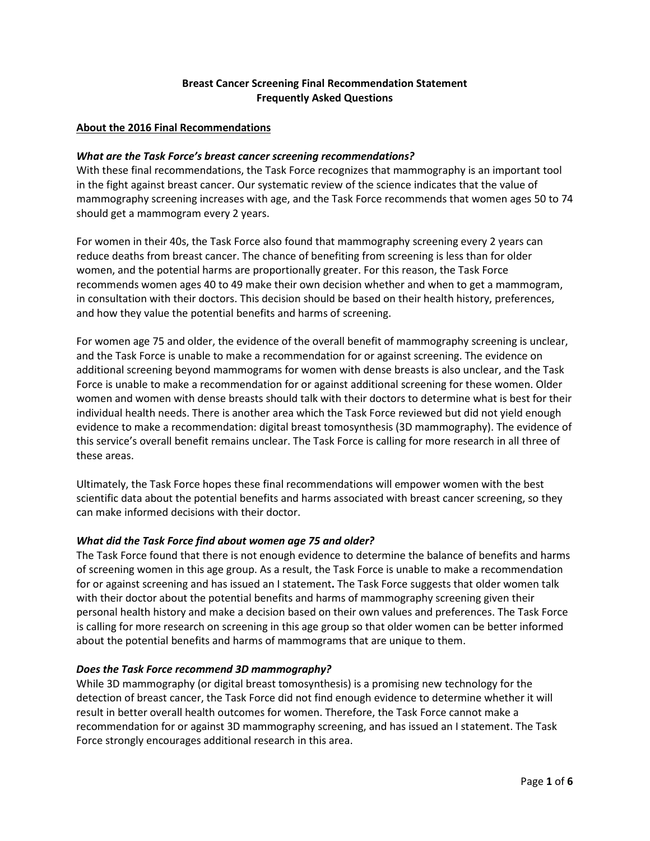# **Breast Cancer Screening Final Recommendation Statement Frequently Asked Questions**

#### **About the 2016 Final Recommendations**

#### *What are the Task Force's breast cancer screening recommendations?*

With these final recommendations, the Task Force recognizes that mammography is an important tool in the fight against breast cancer. Our systematic review of the science indicates that the value of mammography screening increases with age, and the Task Force recommends that women ages 50 to 74 should get a mammogram every 2 years.

For women in their 40s, the Task Force also found that mammography screening every 2 years can reduce deaths from breast cancer. The chance of benefiting from screening is less than for older women, and the potential harms are proportionally greater. For this reason, the Task Force recommends women ages 40 to 49 make their own decision whether and when to get a mammogram, in consultation with their doctors. This decision should be based on their health history, preferences, and how they value the potential benefits and harms of screening.

For women age 75 and older, the evidence of the overall benefit of mammography screening is unclear, and the Task Force is unable to make a recommendation for or against screening. The evidence on additional screening beyond mammograms for women with dense breasts is also unclear, and the Task Force is unable to make a recommendation for or against additional screening for these women. Older women and women with dense breasts should talk with their doctors to determine what is best for their individual health needs. There is another area which the Task Force reviewed but did not yield enough evidence to make a recommendation: digital breast tomosynthesis (3D mammography). The evidence of this service's overall benefit remains unclear. The Task Force is calling for more research in all three of these areas.

Ultimately, the Task Force hopes these final recommendations will empower women with the best scientific data about the potential benefits and harms associated with breast cancer screening, so they can make informed decisions with their doctor.

#### *What did the Task Force find about women age 75 and older?*

The Task Force found that there is not enough evidence to determine the balance of benefits and harms of screening women in this age group. As a result, the Task Force is unable to make a recommendation for or against screening and has issued an I statement**.** The Task Force suggests that older women talk with their doctor about the potential benefits and harms of mammography screening given their personal health history and make a decision based on their own values and preferences. The Task Force is calling for more research on screening in this age group so that older women can be better informed about the potential benefits and harms of mammograms that are unique to them.

#### *Does the Task Force recommend 3D mammography?*

While 3D mammography (or digital breast tomosynthesis) is a promising new technology for the detection of breast cancer, the Task Force did not find enough evidence to determine whether it will result in better overall health outcomes for women. Therefore, the Task Force cannot make a recommendation for or against 3D mammography screening, and has issued an I statement. The Task Force strongly encourages additional research in this area.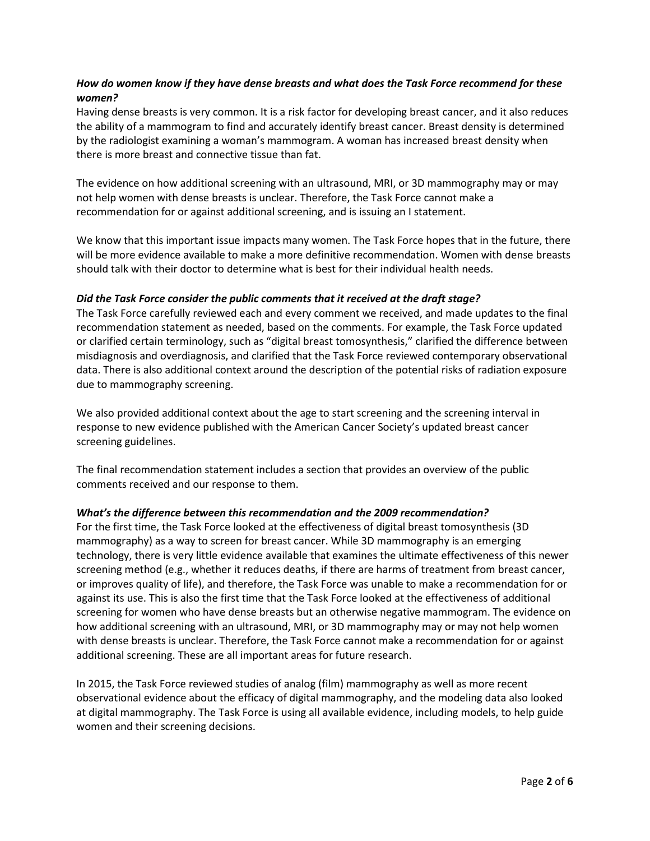# *How do women know if they have dense breasts and what does the Task Force recommend for these women?*

Having dense breasts is very common. It is a risk factor for developing breast cancer, and it also reduces the ability of a mammogram to find and accurately identify breast cancer. Breast density is determined by the radiologist examining a woman's mammogram. A woman has increased breast density when there is more breast and connective tissue than fat.

The evidence on how additional screening with an ultrasound, MRI, or 3D mammography may or may not help women with dense breasts is unclear. Therefore, the Task Force cannot make a recommendation for or against additional screening, and is issuing an I statement.

We know that this important issue impacts many women. The Task Force hopes that in the future, there will be more evidence available to make a more definitive recommendation. Women with dense breasts should talk with their doctor to determine what is best for their individual health needs.

### *Did the Task Force consider the public comments that it received at the draft stage?*

The Task Force carefully reviewed each and every comment we received, and made updates to the final recommendation statement as needed, based on the comments. For example, the Task Force updated or clarified certain terminology, such as "digital breast tomosynthesis," clarified the difference between misdiagnosis and overdiagnosis, and clarified that the Task Force reviewed contemporary observational data. There is also additional context around the description of the potential risks of radiation exposure due to mammography screening.

We also provided additional context about the age to start screening and the screening interval in response to new evidence published with the American Cancer Society's updated breast cancer screening guidelines.

The final recommendation statement includes a section that provides an overview of the public comments received and our response to them.

# *What's the difference between this recommendation and the 2009 recommendation?*

For the first time, the Task Force looked at the effectiveness of digital breast tomosynthesis (3D mammography) as a way to screen for breast cancer. While 3D mammography is an emerging technology, there is very little evidence available that examines the ultimate effectiveness of this newer screening method (e.g., whether it reduces deaths, if there are harms of treatment from breast cancer, or improves quality of life), and therefore, the Task Force was unable to make a recommendation for or against its use. This is also the first time that the Task Force looked at the effectiveness of additional screening for women who have dense breasts but an otherwise negative mammogram. The evidence on how additional screening with an ultrasound, MRI, or 3D mammography may or may not help women with dense breasts is unclear. Therefore, the Task Force cannot make a recommendation for or against additional screening. These are all important areas for future research.

In 2015, the Task Force reviewed studies of analog (film) mammography as well as more recent observational evidence about the efficacy of digital mammography, and the modeling data also looked at digital mammography. The Task Force is using all available evidence, including models, to help guide women and their screening decisions.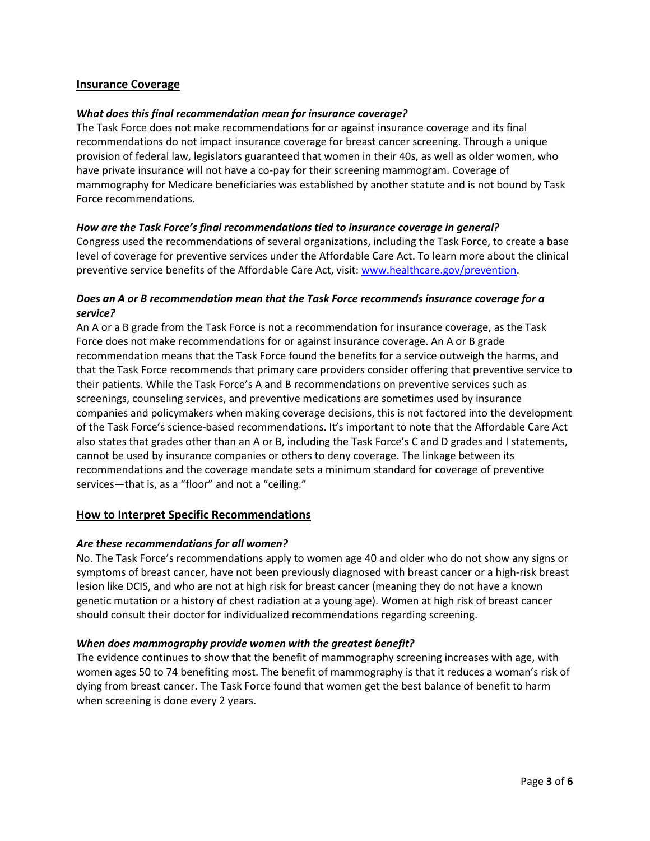# **Insurance Coverage**

#### *What does this final recommendation mean for insurance coverage?*

The Task Force does not make recommendations for or against insurance coverage and its final recommendations do not impact insurance coverage for breast cancer screening. Through a unique provision of federal law, legislators guaranteed that women in their 40s, as well as older women, who have private insurance will not have a co-pay for their screening mammogram. Coverage of mammography for Medicare beneficiaries was established by another statute and is not bound by Task Force recommendations.

#### *How are the Task Force's final recommendations tied to insurance coverage in general?*

Congress used the recommendations of several organizations, including the Task Force, to create a base level of coverage for preventive services under the Affordable Care Act. To learn more about the clinical preventive service benefits of the Affordable Care Act, visit: [www.healthcare.gov/prevention.](http://www.healthcare.gov/prevention)

### *Does an A or B recommendation mean that the Task Force recommends insurance coverage for a service?*

An A or a B grade from the Task Force is not a recommendation for insurance coverage, as the Task Force does not make recommendations for or against insurance coverage. An A or B grade recommendation means that the Task Force found the benefits for a service outweigh the harms, and that the Task Force recommends that primary care providers consider offering that preventive service to their patients. While the Task Force's A and B recommendations on preventive services such as screenings, counseling services, and preventive medications are sometimes used by insurance companies and policymakers when making coverage decisions, this is not factored into the development of the Task Force's science-based recommendations. It's important to note that the Affordable Care Act also states that grades other than an A or B, including the Task Force's C and D grades and I statements, cannot be used by insurance companies or others to deny coverage. The linkage between its recommendations and the coverage mandate sets a minimum standard for coverage of preventive services—that is, as a "floor" and not a "ceiling."

#### **How to Interpret Specific Recommendations**

#### *Are these recommendations for all women?*

No. The Task Force's recommendations apply to women age 40 and older who do not show any signs or symptoms of breast cancer, have not been previously diagnosed with breast cancer or a high-risk breast lesion like DCIS, and who are not at high risk for breast cancer (meaning they do not have a known genetic mutation or a history of chest radiation at a young age). Women at high risk of breast cancer should consult their doctor for individualized recommendations regarding screening.

#### *When does mammography provide women with the greatest benefit?*

The evidence continues to show that the benefit of mammography screening increases with age, with women ages 50 to 74 benefiting most. The benefit of mammography is that it reduces a woman's risk of dying from breast cancer. The Task Force found that women get the best balance of benefit to harm when screening is done every 2 years.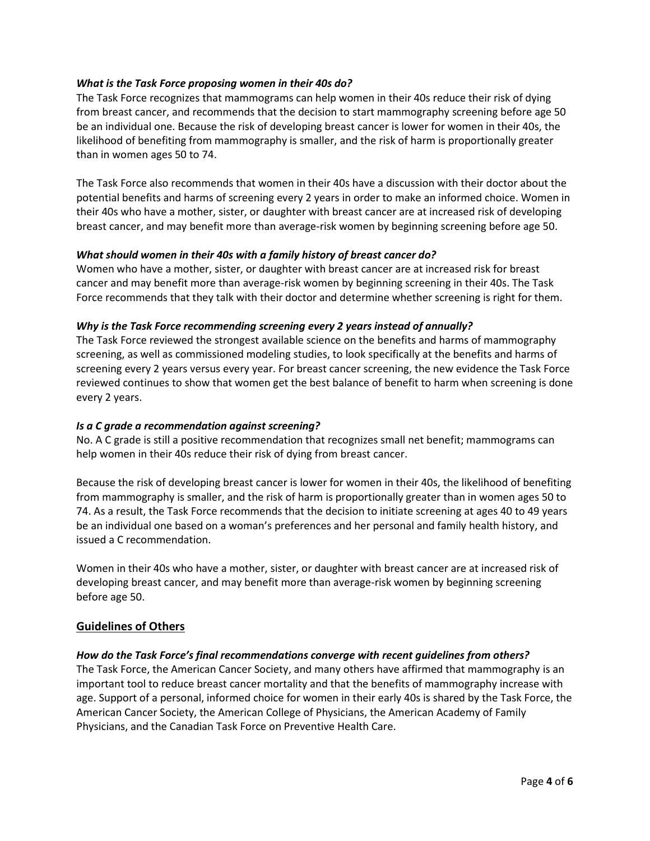# *What is the Task Force proposing women in their 40s do?*

The Task Force recognizes that mammograms can help women in their 40s reduce their risk of dying from breast cancer, and recommends that the decision to start mammography screening before age 50 be an individual one. Because the risk of developing breast cancer is lower for women in their 40s, the likelihood of benefiting from mammography is smaller, and the risk of harm is proportionally greater than in women ages 50 to 74.

The Task Force also recommends that women in their 40s have a discussion with their doctor about the potential benefits and harms of screening every 2 years in order to make an informed choice. Women in their 40s who have a mother, sister, or daughter with breast cancer are at increased risk of developing breast cancer, and may benefit more than average-risk women by beginning screening before age 50.

# *What should women in their 40s with a family history of breast cancer do?*

Women who have a mother, sister, or daughter with breast cancer are at increased risk for breast cancer and may benefit more than average-risk women by beginning screening in their 40s. The Task Force recommends that they talk with their doctor and determine whether screening is right for them.

# *Why is the Task Force recommending screening every 2 years instead of annually?*

The Task Force reviewed the strongest available science on the benefits and harms of mammography screening, as well as commissioned modeling studies, to look specifically at the benefits and harms of screening every 2 years versus every year. For breast cancer screening, the new evidence the Task Force reviewed continues to show that women get the best balance of benefit to harm when screening is done every 2 years.

### *Is a C grade a recommendation against screening?*

No. A C grade is still a positive recommendation that recognizes small net benefit; mammograms can help women in their 40s reduce their risk of dying from breast cancer.

Because the risk of developing breast cancer is lower for women in their 40s, the likelihood of benefiting from mammography is smaller, and the risk of harm is proportionally greater than in women ages 50 to 74. As a result, the Task Force recommends that the decision to initiate screening at ages 40 to 49 years be an individual one based on a woman's preferences and her personal and family health history, and issued a C recommendation.

Women in their 40s who have a mother, sister, or daughter with breast cancer are at increased risk of developing breast cancer, and may benefit more than average-risk women by beginning screening before age 50.

# **Guidelines of Others**

# *How do the Task Force's final recommendations converge with recent guidelines from others?*

The Task Force, the American Cancer Society, and many others have affirmed that mammography is an important tool to reduce breast cancer mortality and that the benefits of mammography increase with age. Support of a personal, informed choice for women in their early 40s is shared by the Task Force, the American Cancer Society, the American College of Physicians, the American Academy of Family Physicians, and the Canadian Task Force on Preventive Health Care.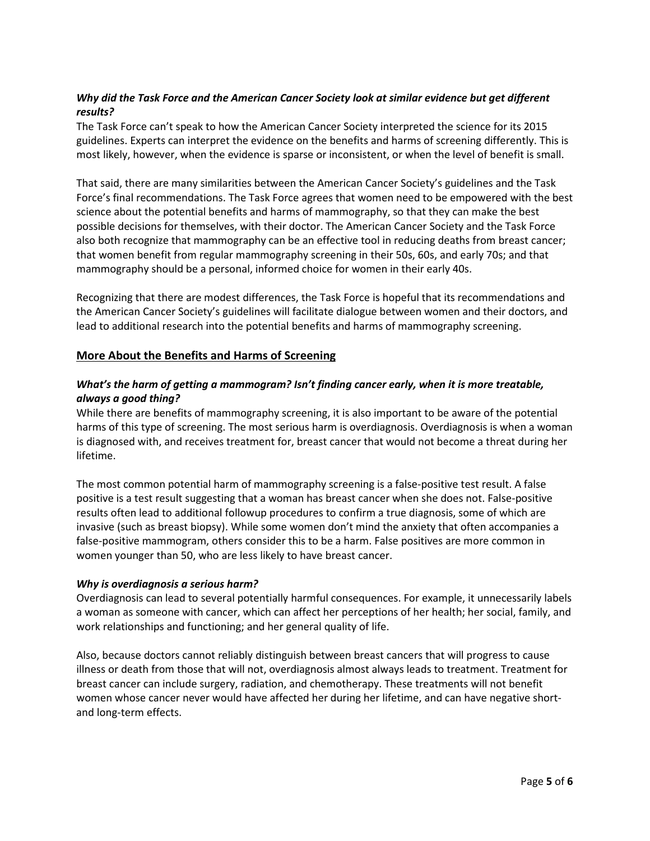# *Why did the Task Force and the American Cancer Society look at similar evidence but get different results?*

The Task Force can't speak to how the American Cancer Society interpreted the science for its 2015 guidelines. Experts can interpret the evidence on the benefits and harms of screening differently. This is most likely, however, when the evidence is sparse or inconsistent, or when the level of benefit is small.

That said, there are many similarities between the American Cancer Society's guidelines and the Task Force's final recommendations. The Task Force agrees that women need to be empowered with the best science about the potential benefits and harms of mammography, so that they can make the best possible decisions for themselves, with their doctor. The American Cancer Society and the Task Force also both recognize that mammography can be an effective tool in reducing deaths from breast cancer; that women benefit from regular mammography screening in their 50s, 60s, and early 70s; and that mammography should be a personal, informed choice for women in their early 40s.

Recognizing that there are modest differences, the Task Force is hopeful that its recommendations and the American Cancer Society's guidelines will facilitate dialogue between women and their doctors, and lead to additional research into the potential benefits and harms of mammography screening.

# **More About the Benefits and Harms of Screening**

# *What's the harm of getting a mammogram? Isn't finding cancer early, when it is more treatable, always a good thing?*

While there are benefits of mammography screening, it is also important to be aware of the potential harms of this type of screening. The most serious harm is overdiagnosis. Overdiagnosis is when a woman is diagnosed with, and receives treatment for, breast cancer that would not become a threat during her lifetime.

The most common potential harm of mammography screening is a false-positive test result. A false positive is a test result suggesting that a woman has breast cancer when she does not. False-positive results often lead to additional followup procedures to confirm a true diagnosis, some of which are invasive (such as breast biopsy). While some women don't mind the anxiety that often accompanies a false-positive mammogram, others consider this to be a harm. False positives are more common in women younger than 50, who are less likely to have breast cancer.

#### *Why is overdiagnosis a serious harm?*

Overdiagnosis can lead to several potentially harmful consequences. For example, it unnecessarily labels a woman as someone with cancer, which can affect her perceptions of her health; her social, family, and work relationships and functioning; and her general quality of life.

Also, because doctors cannot reliably distinguish between breast cancers that will progress to cause illness or death from those that will not, overdiagnosis almost always leads to treatment. Treatment for breast cancer can include surgery, radiation, and chemotherapy. These treatments will not benefit women whose cancer never would have affected her during her lifetime, and can have negative shortand long-term effects.